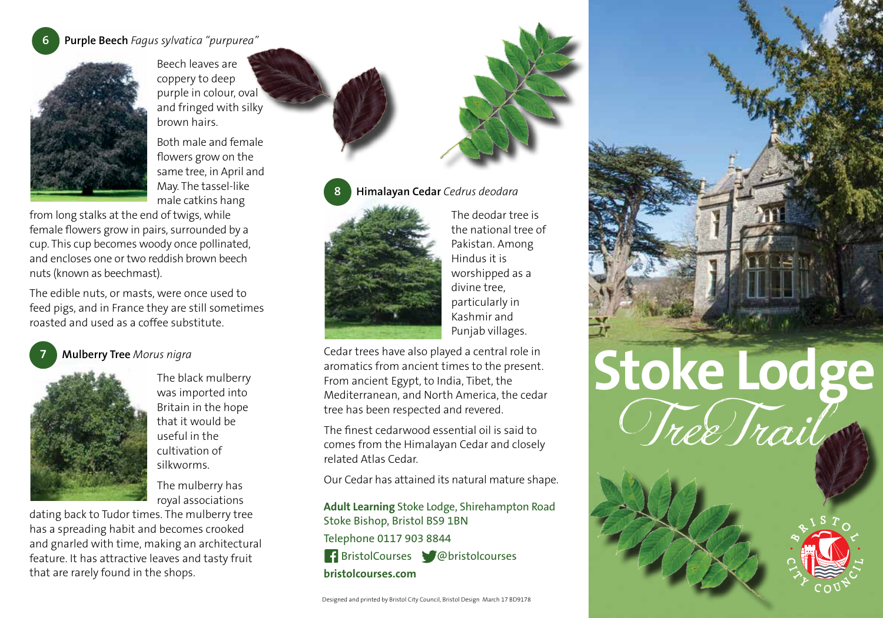## **6 Purple Beech** *Fagus sylvatica "purpurea"*



Beech leaves are coppery to deep purple in colour, oval and fringed with silky brown hairs.

Both male and female flowers grow on the same tree, in April and May. The tassel-like male catkins hang

from long stalks at the end of twigs, while female flowers grow in pairs, surrounded by a cup. This cup becomes woody once pollinated, and encloses one or two reddish brown beech nuts (known as beechmast).

The edible nuts, or masts, were once used to feed pigs, and in France they are still sometimes roasted and used as a coffee substitute.

## **7 Mulberry Tree** *Morus nigra*



The black mulberry was imported into Britain in the hope that it would be useful in the cultivation of silkworms.

The mulberry has royal associations

dating back to Tudor times. The mulberry tree has a spreading habit and becomes crooked and gnarled with time, making an architectural feature. It has attractive leaves and tasty fruit that are rarely found in the shops.



The deodar tree is the national tree of Pakistan. Among Hindus it is worshipped as a divine tree, particularly in Kashmir and Punjab villages.

Cedar trees have also played a central role in aromatics from ancient times to the present. From ancient Egypt, to India, Tibet, the Mediterranean, and North America, the cedar tree has been respected and revered.

The finest cedarwood essential oil is said to comes from the Himalayan Cedar and closely related Atlas Cedar.

Our Cedar has attained its natural mature shape.

**Adult Learning** Stoke Lodge, Shirehampton Road Stoke Bishop, Bristol BS9 1BN Telephone 0117 903 8844

 BristolCourses @bristolcourses **bristolcourses.com**